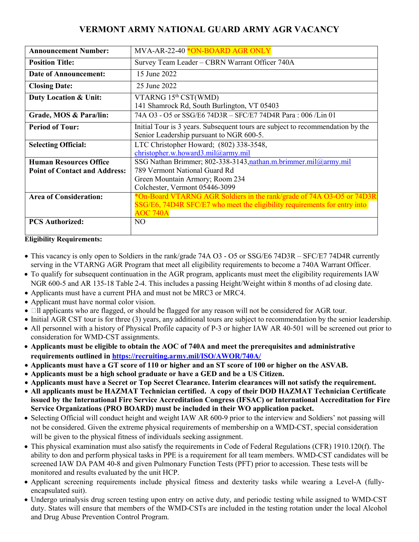# **VERMONT ARMY NATIONAL GUARD ARMY AGR VACANCY**

| <b>Announcement Number:</b>          | MVA-AR-22-40 *ON-BOARD AGR ONLY                                                                                            |
|--------------------------------------|----------------------------------------------------------------------------------------------------------------------------|
| <b>Position Title:</b>               | Survey Team Leader - CBRN Warrant Officer 740A                                                                             |
| <b>Date of Announcement:</b>         | 15 June 2022                                                                                                               |
| <b>Closing Date:</b>                 | 25 June 2022                                                                                                               |
| <b>Duty Location &amp; Unit:</b>     | VTARNG $15th$ CST(WMD)<br>141 Shamrock Rd, South Burlington, VT 05403                                                      |
| Grade, MOS & Para/lin:               | 74A O3 - O5 or SSG/E6 74D3R – SFC/E7 74D4R Para : 006 /Lin 01                                                              |
| <b>Period of Tour:</b>               | Initial Tour is 3 years. Subsequent tours are subject to recommendation by the<br>Senior Leadership pursuant to NGR 600-5. |
| <b>Selecting Official:</b>           | LTC Christopher Howard; (802) 338-3548,<br>christopher.w.howard3.mil@army.mil                                              |
| <b>Human Resources Office</b>        | SSG Nathan Brimmer; 802-338-3143, nathan.m.brimmer.mil@army.mil                                                            |
| <b>Point of Contact and Address:</b> | 789 Vermont National Guard Rd                                                                                              |
|                                      | Green Mountain Armory; Room 234                                                                                            |
|                                      | Colchester, Vermont 05446-3099                                                                                             |
| <b>Area of Consideration:</b>        | *On-Board VTARNG AGR Soldiers in the rank/grade of 74A 03-05 or 74D3R                                                      |
|                                      | SSG/E6, 74D4R SFC/E7 who meet the eligibility requirements for entry into                                                  |
|                                      | <b>AOC 740A</b>                                                                                                            |
| <b>PCS Authorized:</b>               | NO.                                                                                                                        |
|                                      |                                                                                                                            |

#### **Eligibility Requirements:**

- This vacancy is only open to Soldiers in the rank/grade 74A O3 O5 or SSG/E6 74D3R SFC/E7 74D4R currently serving in the VTARNG AGR Program that meet all eligibility requirements to become a 740A Warrant Officer.
- To qualify for subsequent continuation in the AGR program, applicants must meet the eligibility requirements IAW NGR 600-5 and AR 135-18 Table 2-4. This includes a passing Height/Weight within 8 months of ad closing date.
- Applicants must have a current PHA and must not be MRC3 or MRC4.
- Applicant must have normal color vision.
- $\Box$  ll applicants who are flagged, or should be flagged for any reason will not be considered for AGR tour.
- Initial AGR CST tour is for three (3) years, any additional tours are subject to recommendation by the senior leadership.
- All personnel with a history of Physical Profile capacity of P-3 or higher IAW AR 40-501 will be screened out prior to consideration for WMD-CST assignments.
- **Applicants must be eligible to obtain the AOC of 740A and meet the prerequisites and administrative requirements outlined in<https://recruiting.army.mil/ISO/AWOR/740A/>**
- **Applicants must have a GT score of 110 or higher and an ST score of 100 or higher on the ASVAB.**
- **Applicants must be a high school graduate or have a GED and be a US Citizen.**
- **Applicants must have a Secret or Top Secret Clearance. Interim clearances will not satisfy the requirement.**
- **All applicants must be HAZMAT Technician certified. A copy of their DOD HAZMAT Technician Certificate issued by the International Fire Service Accreditation Congress (IFSAC) or International Accreditation for Fire Service Organizations (PRO BOARD) must be included in their WO application packet.**
- Selecting Official will conduct height and weight IAW AR 600-9 prior to the interview and Soldiers' not passing will not be considered. Given the extreme physical requirements of membership on a WMD-CST, special consideration will be given to the physical fitness of individuals seeking assignment.
- This physical examination must also satisfy the requirements in Code of Federal Regulations (CFR) 1910.120(f). The ability to don and perform physical tasks in PPE is a requirement for all team members. WMD-CST candidates will be screened IAW DA PAM 40-8 and given Pulmonary Function Tests (PFT) prior to accession. These tests will be monitored and results evaluated by the unit HCP.
- Applicant screening requirements include physical fitness and dexterity tasks while wearing a Level-A (fullyencapsulated suit).
- Undergo urinalysis drug screen testing upon entry on active duty, and periodic testing while assigned to WMD-CST duty. States will ensure that members of the WMD-CSTs are included in the testing rotation under the local Alcohol and Drug Abuse Prevention Control Program.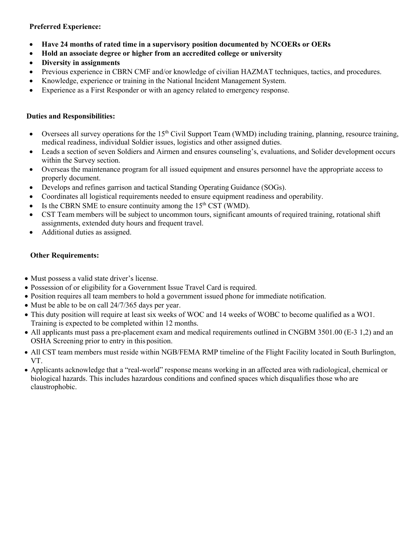#### **Preferred Experience:**

- **Have 24 months of rated time in a supervisory position documented by NCOERs or OERs**
- **Hold an associate degree or higher from an accredited college or university**
- **Diversity in assignments**
- Previous experience in CBRN CMF and/or knowledge of civilian HAZMAT techniques, tactics, and procedures.
- Knowledge, experience or training in the National Incident Management System.
- Experience as a First Responder or with an agency related to emergency response.

### **Duties and Responsibilities:**

- Oversees all survey operations for the 15<sup>th</sup> Civil Support Team (WMD) including training, planning, resource training, medical readiness, individual Soldier issues, logistics and other assigned duties.
- Leads a section of seven Soldiers and Airmen and ensures counseling's, evaluations, and Solider development occurs within the Survey section.
- Overseas the maintenance program for all issued equipment and ensures personnel have the appropriate access to properly document.
- Develops and refines garrison and tactical Standing Operating Guidance (SOGs).
- Coordinates all logistical requirements needed to ensure equipment readiness and operability.
- Is the CBRN SME to ensure continuity among the  $15<sup>th</sup>$  CST (WMD).
- CST Team members will be subject to uncommon tours, significant amounts of required training, rotational shift assignments, extended duty hours and frequent travel.
- Additional duties as assigned.

## **Other Requirements:**

- Must possess a valid state driver's license.
- Possession of or eligibility for a Government Issue Travel Card is required.
- Position requires all team members to hold a government issued phone for immediate notification.
- Must be able to be on call 24/7/365 days per year.
- This duty position will require at least six weeks of WOC and 14 weeks of WOBC to become qualified as a WO1. Training is expected to be completed within 12 months.
- All applicants must pass a pre-placement exam and medical requirements outlined in CNGBM 3501.00 (E-3 1,2) and an OSHA Screening prior to entry in this position.
- All CST team members must reside within NGB/FEMA RMP timeline of the Flight Facility located in South Burlington, VT.
- Applicants acknowledge that a "real-world" response means working in an affected area with radiological, chemical or biological hazards. This includes hazardous conditions and confined spaces which disqualifies those who are claustrophobic.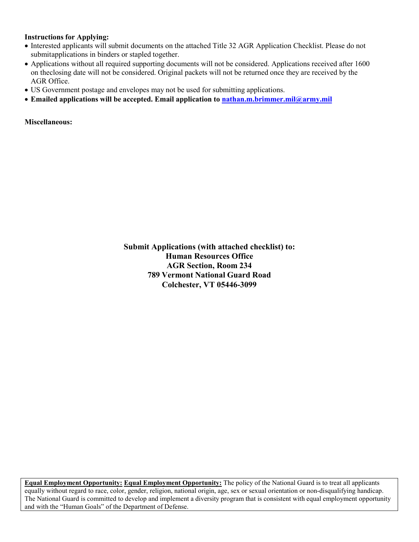#### **Instructions for Applying:**

- Interested applicants will submit documents on the attached Title 32 AGR Application Checklist. Please do not submitapplications in binders or stapled together.
- Applications without all required supporting documents will not be considered. Applications received after 1600 on the closing date will not be considered. Original packets will not be returned once they are received by the AGR Office.
- US Government postage and envelopes may not be used for submitting applications.
- **Emailed applications will be accepted. Email application to [nathan.m.brimmer.mil@army.mil](file://ngvt-sa7v-01/ORG/hro/AGR/Army%20AGR/Staffing/Army%20AGR%20Announcements/2018/Word/nathan.m.brimmer.mil@army.mil)**

**Miscellaneous:**

**Submit Applications (with attached checklist) to: Human Resources Office AGR Section, Room 234 789 Vermont National Guard Road Colchester, VT 05446-3099** 

**Equal Employment Opportunity: Equal Employment Opportunity:** The policy of the National Guard is to treat all applicants equally without regard to race, color, gender, religion, national origin, age, sex or sexual orientation or non-disqualifying handicap. The National Guard is committed to develop and implement a diversity program that is consistent with equal employment opportunity and with the "Human Goals" of the Department of Defense.